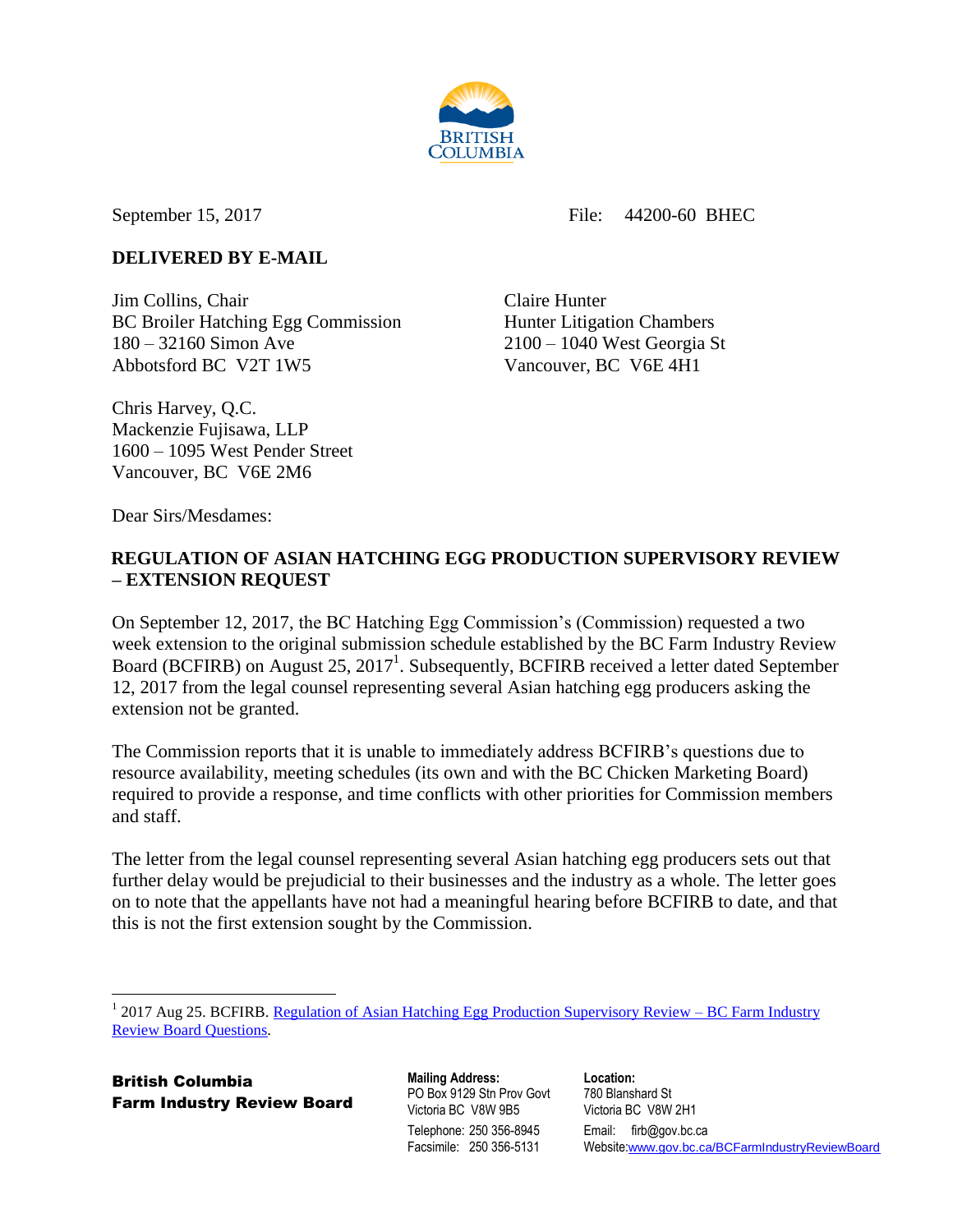

September 15, 2017 File: 44200-60 BHEC

## **DELIVERED BY E-MAIL**

**Jim Collins, Chair Claire Hunter** Claire Hunter BC Broiler Hatching Egg Commission Hunter Litigation Chambers 180 – 32160 Simon Ave 2100 – 1040 West Georgia St Abbotsford BC V2T 1W5 Vancouver, BC V6E 4H1

Chris Harvey, Q.C. Mackenzie Fujisawa, LLP 1600 – 1095 West Pender Street Vancouver, BC V6E 2M6

Dear Sirs/Mesdames:

## **REGULATION OF ASIAN HATCHING EGG PRODUCTION SUPERVISORY REVIEW – EXTENSION REQUEST**

On September 12, 2017, the BC Hatching Egg Commission's (Commission) requested a two week extension to the original submission schedule established by the BC Farm Industry Review Board (BCFIRB) on August 25, 2017<sup>1</sup>. Subsequently, BCFIRB received a letter dated September 12, 2017 from the legal counsel representing several Asian hatching egg producers asking the extension not be granted.

The Commission reports that it is unable to immediately address BCFIRB's questions due to resource availability, meeting schedules (its own and with the BC Chicken Marketing Board) required to provide a response, and time conflicts with other priorities for Commission members and staff.

The letter from the legal counsel representing several Asian hatching egg producers sets out that further delay would be prejudicial to their businesses and the industry as a whole. The letter goes on to note that the appellants have not had a meaningful hearing before BCFIRB to date, and that this is not the first extension sought by the Commission.

British Columbia Farm Industry Review Board **Mailing Address:** PO Box 9129 Stn Prov Govt Victoria BC V8W 9B5 Telephone: 250 356-8945 Facsimile: 250 356-5131

**Location:** 780 Blanshard St Victoria BC V8W 2H1 Email: firb@gov.bc.ca Website:[www.gov.bc.ca/BCFarmIndustryReviewBoard](http://www.gov.bc.ca/BCFarmIndustryReviewBoard)

 $\overline{a}$ <sup>1</sup> 2017 Aug 25. BCFIRB. [Regulation of Asian Hatching Egg Production Supervisory Review –](http://www2.gov.bc.ca/assets/gov/british-columbians-our-governments/organizational-structure/boards-commissions-tribunals/bc-farm-industry-review-board/regulated-marketing/supervisory-reviews/2017-review-asian-hatching-egg-production-reg/2017_aug_25_bcfirb_bhec_specialty_sr_questions.pdf) BC Farm Industry [Review Board Questions.](http://www2.gov.bc.ca/assets/gov/british-columbians-our-governments/organizational-structure/boards-commissions-tribunals/bc-farm-industry-review-board/regulated-marketing/supervisory-reviews/2017-review-asian-hatching-egg-production-reg/2017_aug_25_bcfirb_bhec_specialty_sr_questions.pdf)